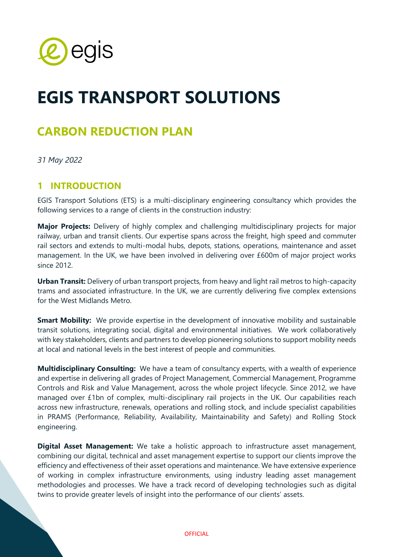

# **EGIS TRANSPORT SOLUTIONS**

## **CARBON REDUCTION PLAN**

*31 May 2022*

### **1 INTRODUCTION**

EGIS Transport Solutions (ETS) is a multi-disciplinary engineering consultancy which provides the following services to a range of clients in the construction industry:

**Major Projects:** Delivery of highly complex and challenging multidisciplinary projects for major railway, urban and transit clients. Our expertise spans across the freight, high speed and commuter rail sectors and extends to multi-modal hubs, depots, stations, operations, maintenance and asset management. In the UK, we have been involved in delivering over £600m of major project works since 2012.

**Urban Transit:** Delivery of urban transport projects, from heavy and light rail metros to high-capacity trams and associated infrastructure. In the UK, we are currently delivering five complex extensions for the West Midlands Metro.

**Smart Mobility:** We provide expertise in the development of innovative mobility and sustainable transit solutions, integrating social, digital and environmental initiatives. We work collaboratively with key stakeholders, clients and partners to develop pioneering solutions to support mobility needs at local and national levels in the best interest of people and communities.

**Multidisciplinary Consulting:** We have a team of consultancy experts, with a wealth of experience and expertise in delivering all grades of Project Management, Commercial Management, Programme Controls and Risk and Value Management, across the whole project lifecycle. Since 2012, we have managed over £1bn of complex, multi-disciplinary rail projects in the UK. Our capabilities reach across new infrastructure, renewals, operations and rolling stock, and include specialist capabilities in PRAMS (Performance, Reliability, Availability, Maintainability and Safety) and Rolling Stock engineering.

**Digital Asset Management:** We take a holistic approach to infrastructure asset management, combining our digital, technical and asset management expertise to support our clients improve the efficiency and effectiveness of their asset operations and maintenance. We have extensive experience of working in complex infrastructure environments, using industry leading asset management methodologies and processes. We have a track record of developing technologies such as digital twins to provide greater levels of insight into the performance of our clients' assets.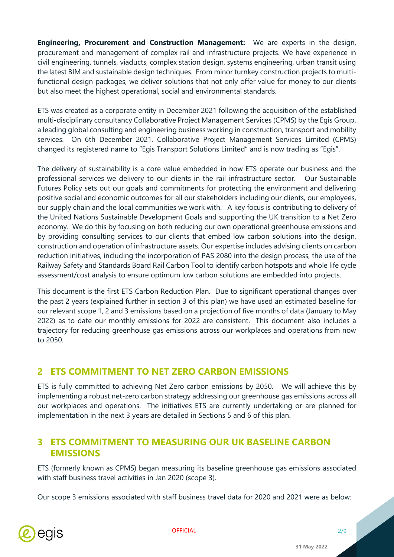**Engineering, Procurement and Construction Management:** We are experts in the design, procurement and management of complex rail and infrastructure projects. We have experience in civil engineering, tunnels, viaducts, complex station design, systems engineering, urban transit using the latest BIM and sustainable design techniques. From minor turnkey construction projects to multifunctional design packages, we deliver solutions that not only offer value for money to our clients but also meet the highest operational, social and environmental standards.

ETS was created as a corporate entity in December 2021 following the acquisition of the established multi-disciplinary consultancy Collaborative Project Management Services (CPMS) by the Egis Group, a leading global consulting and engineering business working in construction, transport and mobility services. On 6th December 2021, Collaborative Project Management Services Limited (CPMS) changed its registered name to "Egis Transport Solutions Limited" and is now trading as "Egis".

The delivery of sustainability is a core value embedded in how ETS operate our business and the professional services we delivery to our clients in the rail infrastructure sector. Our Sustainable Futures Policy sets out our goals and commitments for protecting the environment and delivering positive social and economic outcomes for all our stakeholders including our clients, our employees, our supply chain and the local communities we work with. A key focus is contributing to delivery of the United Nations Sustainable Development Goals and supporting the UK transition to a Net Zero economy. We do this by focusing on both reducing our own operational greenhouse emissions and by providing consulting services to our clients that embed low carbon solutions into the design, construction and operation of infrastructure assets. Our expertise includes advising clients on carbon reduction initiatives, including the incorporation of PAS 2080 into the design process, the use of the Railway Safety and Standards Board Rail Carbon Tool to identify carbon hotspots and whole life cycle assessment/cost analysis to ensure optimum low carbon solutions are embedded into projects.

This document is the first ETS Carbon Reduction Plan. Due to significant operational changes over the past 2 years (explained further in section 3 of this plan) we have used an estimated baseline for our relevant scope 1, 2 and 3 emissions based on a projection of five months of data (January to May 2022) as to date our monthly emissions for 2022 are consistent. This document also includes a trajectory for reducing greenhouse gas emissions across our workplaces and operations from now to 2050.

## **2 ETS COMMITMENT TO NET ZERO CARBON EMISSIONS**

ETS is fully committed to achieving Net Zero carbon emissions by 2050. We will achieve this by implementing a robust net-zero carbon strategy addressing our greenhouse gas emissions across all our workplaces and operations. The initiatives ETS are currently undertaking or are planned for implementation in the next 3 years are detailed in Sections 5 and 6 of this plan.

## **3 ETS COMMITMENT TO MEASURING OUR UK BASELINE CARBON EMISSIONS**

ETS (formerly known as CPMS) began measuring its baseline greenhouse gas emissions associated with staff business travel activities in Jan 2020 (scope 3).

Our scope 3 emissions associated with staff business travel data for 2020 and 2021 were as below:

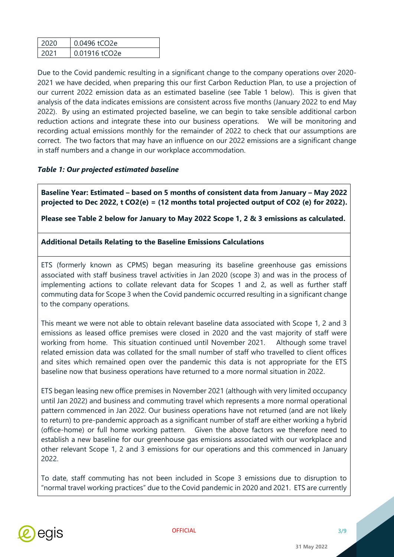| 2020 | 0.0496 tCO2e  |
|------|---------------|
| 2021 | 0.01916 tCO2e |

Due to the Covid pandemic resulting in a significant change to the company operations over 2020- 2021 we have decided, when preparing this our first Carbon Reduction Plan, to use a projection of our current 2022 emission data as an estimated baseline (see Table 1 below). This is given that analysis of the data indicates emissions are consistent across five months (January 2022 to end May 2022). By using an estimated projected baseline, we can begin to take sensible additional carbon reduction actions and integrate these into our business operations. We will be monitoring and recording actual emissions monthly for the remainder of 2022 to check that our assumptions are correct. The two factors that may have an influence on our 2022 emissions are a significant change in staff numbers and a change in our workplace accommodation.

#### *Table 1: Our projected estimated baseline*

**Baseline Year: Estimated – based on 5 months of consistent data from January – May 2022 projected to Dec 2022, t CO2(e) = (12 months total projected output of CO2 (e) for 2022).**

**Please see Table 2 below for January to May 2022 Scope 1, 2 & 3 emissions as calculated.** 

#### **Additional Details Relating to the Baseline Emissions Calculations**

ETS (formerly known as CPMS) began measuring its baseline greenhouse gas emissions associated with staff business travel activities in Jan 2020 (scope 3) and was in the process of implementing actions to collate relevant data for Scopes 1 and 2, as well as further staff commuting data for Scope 3 when the Covid pandemic occurred resulting in a significant change to the company operations.

This meant we were not able to obtain relevant baseline data associated with Scope 1, 2 and 3 emissions as leased office premises were closed in 2020 and the vast majority of staff were working from home. This situation continued until November 2021. Although some travel related emission data was collated for the small number of staff who travelled to client offices and sites which remained open over the pandemic this data is not appropriate for the ETS baseline now that business operations have returned to a more normal situation in 2022.

ETS began leasing new office premises in November 2021 (although with very limited occupancy until Jan 2022) and business and commuting travel which represents a more normal operational pattern commenced in Jan 2022. Our business operations have not returned (and are not likely to return) to pre-pandemic approach as a significant number of staff are either working a hybrid (office-home) or full home working pattern. Given the above factors we therefore need to establish a new baseline for our greenhouse gas emissions associated with our workplace and other relevant Scope 1, 2 and 3 emissions for our operations and this commenced in January 2022.

To date, staff commuting has not been included in Scope 3 emissions due to disruption to "normal travel working practices" due to the Covid pandemic in 2020 and 2021. ETS are currently

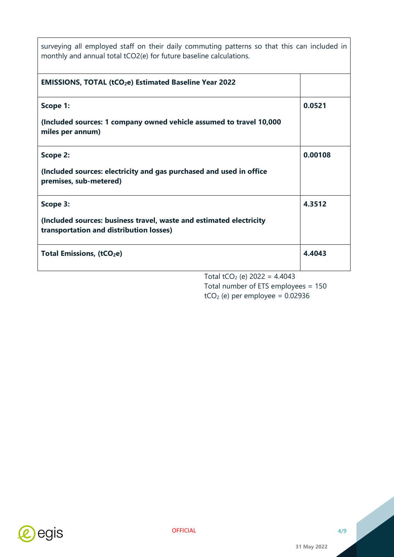| surveying all employed staff on their daily commuting patterns so that this can included in<br>monthly and annual total tCO2(e) for future baseline calculations. |         |
|-------------------------------------------------------------------------------------------------------------------------------------------------------------------|---------|
| <b>EMISSIONS, TOTAL (tCO<sub>2</sub>e) Estimated Baseline Year 2022</b>                                                                                           |         |
| Scope 1:                                                                                                                                                          | 0.0521  |
| (Included sources: 1 company owned vehicle assumed to travel 10,000<br>miles per annum)                                                                           |         |
| Scope 2:                                                                                                                                                          | 0.00108 |
| (Included sources: electricity and gas purchased and used in office<br>premises, sub-metered)                                                                     |         |
| Scope 3:                                                                                                                                                          | 4.3512  |
| (Included sources: business travel, waste and estimated electricity<br>transportation and distribution losses)                                                    |         |
| <b>Total Emissions, (tCO2e)</b>                                                                                                                                   | 4.4043  |
| Total tCO <sub>2</sub> (e) $2022 = 4.4043$<br>Total number of ETS employees = $150$                                                                               |         |

 $tCO<sub>2</sub>$  (e) per employee = 0.02936



j.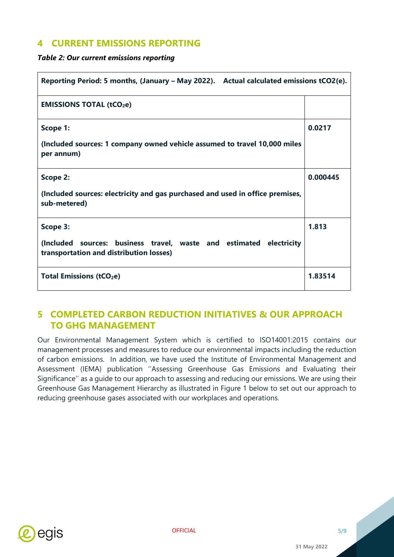## **4 CURRENT EMISSIONS REPORTING**

*Table 2: Our current emissions reporting* 

| Reporting Period: 5 months, (January – May 2022). Actual calculated emissions tCO2(e).                         |          |  |
|----------------------------------------------------------------------------------------------------------------|----------|--|
| <b>EMISSIONS TOTAL (tCO2e)</b>                                                                                 |          |  |
| Scope 1:                                                                                                       | 0.0217   |  |
| (Included sources: 1 company owned vehicle assumed to travel 10,000 miles<br>per annum)                        |          |  |
| Scope 2:                                                                                                       | 0.000445 |  |
| (Included sources: electricity and gas purchased and used in office premises,<br>sub-metered)                  |          |  |
| Scope 3:                                                                                                       | 1.813    |  |
| (Included sources: business travel, waste and estimated electricity<br>transportation and distribution losses) |          |  |
| <b>Total Emissions (tCO<sub>2</sub>e)</b>                                                                      | 1.83514  |  |

## **5 COMPLETED CARBON REDUCTION INITIATIVES & OUR APPROACH TO GHG MANAGEMENT**

Our Environmental Management System which is certified to ISO14001:2015 contains our management processes and measures to reduce our environmental impacts including the reduction of carbon emissions. In addition, we have used the Institute of Environmental Management and Assessment (IEMA) publication ''Assessing Greenhouse Gas Emissions and Evaluating their Significance'' as a guide to our approach to assessing and reducing our emissions. We are using their Greenhouse Gas Management Hierarchy as illustrated in Figure 1 below to set out our approach to reducing greenhouse gases associated with our workplaces and operations.

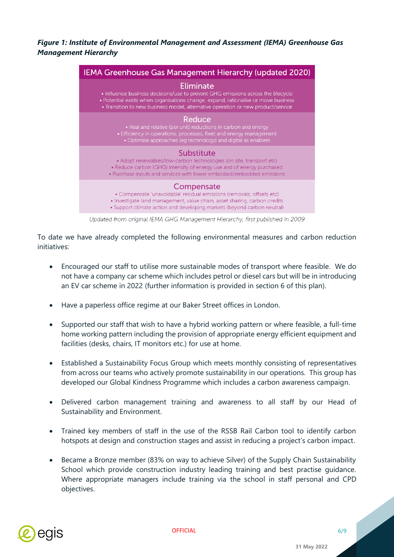*Figure 1: Institute of Environmental Management and Assessment (IEMA) Greenhouse Gas Management Hierarchy*



Updated from original IEMA GHG Management Hierarchy, first published in 2009

To date we have already completed the following environmental measures and carbon reduction initiatives:

- Encouraged our staff to utilise more sustainable modes of transport where feasible. We do not have a company car scheme which includes petrol or diesel cars but will be in introducing an EV car scheme in 2022 (further information is provided in section 6 of this plan).
- Have a paperless office regime at our Baker Street offices in London.
- Supported our staff that wish to have a hybrid working pattern or where feasible, a full-time home working pattern including the provision of appropriate energy efficient equipment and facilities (desks, chairs, IT monitors etc.) for use at home.
- Established a Sustainability Focus Group which meets monthly consisting of representatives from across our teams who actively promote sustainability in our operations. This group has developed our Global Kindness Programme which includes a carbon awareness campaign.
- Delivered carbon management training and awareness to all staff by our Head of Sustainability and Environment.
- Trained key members of staff in the use of the RSSB Rail Carbon tool to identify carbon hotspots at design and construction stages and assist in reducing a project's carbon impact.
- Became a Bronze member (83% on way to achieve Silver) of the Supply Chain Sustainability School which provide construction industry leading training and best practise guidance. Where appropriate managers include training via the school in staff personal and CPD objectives.

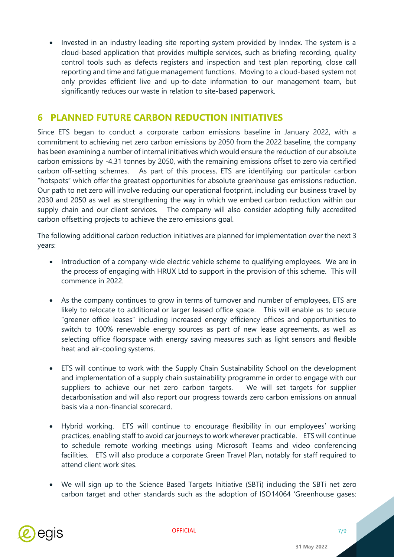• Invested in an industry leading site reporting system provided by Inndex. The system is a cloud-based application that provides multiple services, such as briefing recording, quality control tools such as defects registers and inspection and test plan reporting, close call reporting and time and fatigue management functions. Moving to a cloud-based system not only provides efficient live and up-to-date information to our management team, but significantly reduces our waste in relation to site-based paperwork.

## **6 PLANNED FUTURE CARBON REDUCTION INITIATIVES**

Since ETS began to conduct a corporate carbon emissions baseline in January 2022, with a commitment to achieving net zero carbon emissions by 2050 from the 2022 baseline, the company has been examining a number of internal initiatives which would ensure the reduction of our absolute carbon emissions by -4.31 tonnes by 2050, with the remaining emissions offset to zero via certified carbon off-setting schemes. As part of this process, ETS are identifying our particular carbon "hotspots" which offer the greatest opportunities for absolute greenhouse gas emissions reduction. Our path to net zero will involve reducing our operational footprint, including our business travel by 2030 and 2050 as well as strengthening the way in which we embed carbon reduction within our supply chain and our client services. The company will also consider adopting fully accredited carbon offsetting projects to achieve the zero emissions goal.

The following additional carbon reduction initiatives are planned for implementation over the next 3 years:

- Introduction of a company-wide electric vehicle scheme to qualifying employees. We are in the process of engaging with HRUX Ltd to support in the provision of this scheme. This will commence in 2022.
- As the company continues to grow in terms of turnover and number of employees, ETS are likely to relocate to additional or larger leased office space. This will enable us to secure "greener office leases" including increased energy efficiency offices and opportunities to switch to 100% renewable energy sources as part of new lease agreements, as well as selecting office floorspace with energy saving measures such as light sensors and flexible heat and air-cooling systems.
- ETS will continue to work with the Supply Chain Sustainability School on the development and implementation of a supply chain sustainability programme in order to engage with our suppliers to achieve our net zero carbon targets. We will set targets for supplier decarbonisation and will also report our progress towards zero carbon emissions on annual basis via a non-financial scorecard.
- Hybrid working. ETS will continue to encourage flexibility in our employees' working practices, enabling staff to avoid car journeys to work wherever practicable. ETS will continue to schedule remote working meetings using Microsoft Teams and video conferencing facilities. ETS will also produce a corporate Green Travel Plan, notably for staff required to attend client work sites.
- We will sign up to the Science Based Targets Initiative (SBTi) including the SBTi net zero carbon target and other standards such as the adoption of ISO14064 'Greenhouse gases:

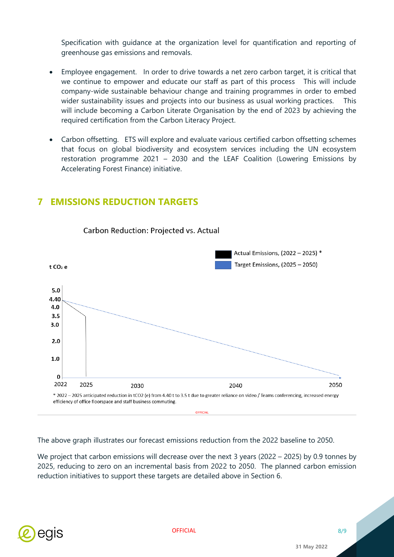Specification with guidance at the organization level for quantification and reporting of greenhouse gas emissions and removals.

- Employee engagement. In order to drive towards a net zero carbon target, it is critical that we continue to empower and educate our staff as part of this process This will include company-wide sustainable behaviour change and training programmes in order to embed wider sustainability issues and projects into our business as usual working practices. This will include becoming a Carbon Literate Organisation by the end of 2023 by achieving the required certification from the Carbon Literacy Project.
- Carbon offsetting. ETS will explore and evaluate various certified carbon offsetting schemes that focus on global biodiversity and ecosystem services including the UN ecosystem restoration programme 2021 – 2030 and the LEAF Coalition (Lowering Emissions by Accelerating Forest Finance) initiative.



**7 EMISSIONS REDUCTION TARGETS** 

Carbon Reduction: Projected vs. Actual

The above graph illustrates our forecast emissions reduction from the 2022 baseline to 2050.

We project that carbon emissions will decrease over the next 3 years (2022 – 2025) by 0.9 tonnes by 2025, reducing to zero on an incremental basis from 2022 to 2050. The planned carbon emission reduction initiatives to support these targets are detailed above in Section 6.